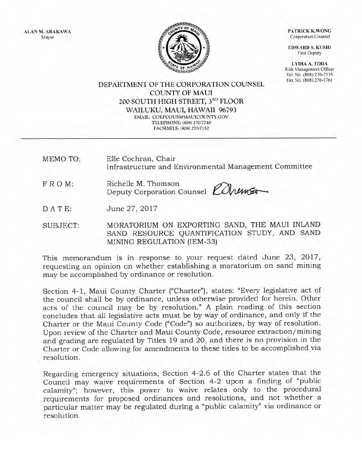ALAN M. ARAKAWA Mayor

**file** 

PATRICK K.WONG Corporation Counsel

EDWARD S. KUSHI First Deputy

LYDIA A. TODA Risk Management Officer Tel. No. (808) 270-7535 FaxNo. (808)270-1761

DEPARTMENT OF THE CORPORATION COLINSEL COLINTY OF MAUI 200 SOUTH HIGH STREET, 3RD FLOOR WAILUKU, MAUI, HAWAII 96793 EMAIL: CORPCOUN@MAUICOUNTY.GOV TELEPHONE: (808) 270-7740 FACSIMILE: (808) 270-7152

MEMO TO: Elle Cochran, Chair Infrastructure and Environmental Management Committee

- FROM: Richelle M. Thomson  $\mathscr{D}$ Deputy Corporation Counsel KONE
- DATE: June 27,2017

SUBJECT: MORATORIUM ON EXPORTING SAND, THE MAUI INLAND SAND RESOURCE QUANTIFICATION STUDY, AND SAND MINING REGULATION (IEM-33)

This memorandum is in response to your request dated June 23, 2017, requesting an opinion on whether establishing a moratorium on sand mining may be accomplished by ordinance or resolution.

Section 4-1, Maui County Charter ("Charter"), states: "Every legislative act of the council shal1 be by ordinance, unless otherwise provided for herein. Other acts of the council may be by resolution." A plain reading of this section concludes that all legislative acts must be by way of ordinance, and only if the Charter or the Maui County Code ("Code") so authorizes, by way of resolution. Upon review of the Charter and Maui County Code, resource extraction/mining and grading are regulated by Titles 19 and 20, and there is no provision in the Charter or Code allowing for amendments to these titles to be accomplished via resolution.

Regarding emergency situations, Section 4-2.6 of the Charter states that the Council may waive requirements of Section 4-2 upon a finding of "public calamity"; however, this power to waive relates only to the procedural requirements for proposed ordinances and resolutions, and not whether <sup>a</sup> particular matter may be regulated during a "public calamity" via ordinance or resolution.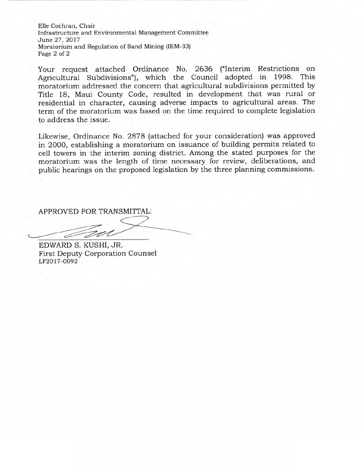Elle Cochran, Chair Infrastructure and Environmental Management Committee June 27,2017 Moratorium and Regulation of Sand Mining (IEM-33) Page 2 of 2

Your request attached Ordinance No. 2636 ("Interim Restrictions on Agricultural Subdivisions"), which the Council adopted in 1998. This moratorium addressed the concern that agricultural subdivisions permitted by Title 18, Maui County Code, resulted in development that was rural or residential in character, causing adverse impacts to agricultural areas. The term of the moratorium was based on the time required to complete legislation to address the issue.

Likewise, Ordinance No. 2878 (attached for your consideration) was approved in 2000, establishing a moratorium on issuance of building permits related to cell towers in the interim zoning district. Among the stated purposes for the moratorium was the length of time necessary for review, deliberations, and public hearings on the proposed legislation by the three planning commissions.

APPROVED FOR TRANSMITTAL:

EDWARD S. KUSHI, JR. First Deputy Corporation Counsel LF2017-OO92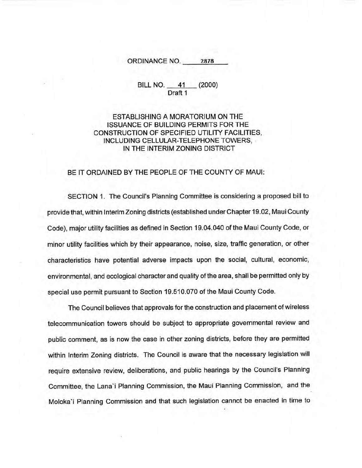ORDINANCE NO. 2878

## BILL NO. 41 (2000) Draft <sup>1</sup>

## ESTABLISHING A MORATORIUM ON THE **ISSUANCE OF BUILDING PERMITS FOR THE** CONSTRUCTION OF SPECIFIED UTILITY FACILITIES, INCLUDING CELLULAR-TELEPHONE TOWERS, IN THE INTERIM ZONING DISTRICT

## BE IT ORDAINED BY THE PEOPLE OF THE COUNTY OF MAUI:

SECTION 1. The Council's Planning Committee is considering a proposed bill to provide that, within Interim Zoning districts (established under Chapter 19.02, Maui County Code), major utility facilities as defined in Section 19.04.040 of the Maui County Code, or minor utility facilities which by their appearance, noise, size, traffic generation, or other characteristics have potential adverse impacts upon the social, cultural, economic, environmental, and ecological character and quality of the area, shall be permitted only by special use permit pursuant to Section 19.510.070 of the Maui County Code.

The Council believes that approvals for the construction and placement of wireless telecommunication towers should be subject to appropriate govemmental review and public comment, as is now the case in other zoning districts, before they are permitted within lnterim Zoning districts. The Council is aware that the necessary legislation will require extensive review, deliberations, and public hearings by the Council's Planning Gommittee, the Lana'i Planning Commission, the Maui Planning Commission, and the Moloka'i Planning Commission and that such legislation cannot be enacted in time to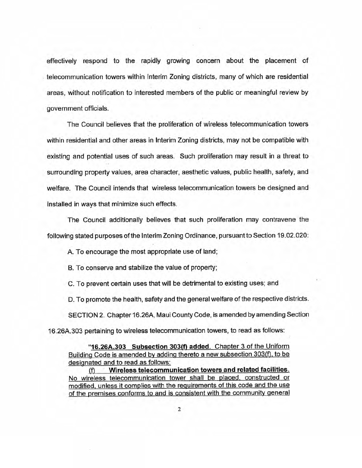effectively respond to the rapidly growing concern about the placement of telecommunication towers within lnterim Zoning districts, many of which are residential areas, without notification to interested members of the public or meaningful review by government officials.

The Council believes that the proliferation of wireless telecommunication towers within residential and other areas in lnterim Zoning districts, may not be compatible with existing and potential uses of such areas. Such proliferation may result in a threat to surrounding property values, area character, aesthetic values, public health, safety, and welfare. The Council intends that wireless tetecommunication towers be designed and installed in ways that minimize such effects.

The Council additionally believes that such proliferation may contravene the following stated purposes of the Interim Zoning Ordinance, pursuant to Section 19.02.020:

A. To encourage the most appropriate use of land;

B. To conserve and stabilize the value of property;

C. To prevent certain uses that will be detrimental to existing uses; and

D. To promote the health, safety and the general welfare of the respective districts.

SECTION 2. Chapter 16.26A, Maui County Code, is amended by amending Section

16.26A.303 pertaining to wireless telecommunication towers, to read as follows:

"16.26A.303 Subsection 303(f) added. Chapter 3 of the Uniform Building Code is amended by adding thereto a new subsection 303(f), to be designated and to read as follows:

(f) Wireless telecommunication towers and related facilities. No wireless telecommunication tower shall be placed, constructed or modified, unless it complies with the requirements of this code and the use of the premises conforms to and is consistent with the community general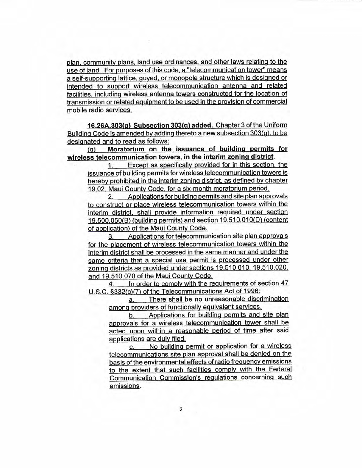plan. community plans. land use ordinances. and other laws relating to the use of land. For purposes of this code, a "telecommunication tower" means a self-supporting lattice. guyed. or monopole strucfure which is designed or intended to support wireless telecommunication antenna and related facilities. including wireless antenna towers constructed for the location of transmission or related equipment to be used in the provision of commercial mobile radio services.

16.26A.303(o) Subsection 303(9) added. Chapter 3 of the Uniform Building Code is amended by adding thereto a new subsection 303(g), to be desiqnated and to read as follows:

(g) Moratorium on the issuance of building permits for wireless telecommunication towers. in the interim zoning district.

1. Except as specifically provided for in this section. the issuance of building permits for wireless telecommunication towers is hereby prohibited in the interim zoning district, as defined by chapter 19.02. Meui County Code. for a six-month moratorium period.

2. Applications for building permits and site plan apgrovals to construct or place wireless telecommunication towers within the interim district. shall provide information required under section 19.500.050(B) (building permits) and section 19.510.010(D) (content of application) of the Maui County Code.

3. Applications for telecommunication site plan approvals for the placement of wireless telecommunication towers within the interim district shall be processed in the same manner and under the same criteria that a special use permit is processed under other zoning districts as provided under sections 19.510.010, 19.510.020. and 19.510.070 of the Maui County Code.

4. In order to comply with the requirements of section 47 U.S.C. §332(c)(7) of the Telecommunications Act of 1996:

a. There shall be no unreasonable discrimination among providers of functionally equivalent services.

b. Applications for building permits and site plan approvals for a wireless telecommunication tower shall be acted upon within a reasonable period of time after said applications are duly filed.<br>
c. No building permit or application for a wireless

 $c_{\cdot}$ telecommunications site plan approval shall be denied on the basis of the environmental effects of radio frequency emissions to the extent that such facilities comply with the Federal communication commission's regulations concerninq such emissions.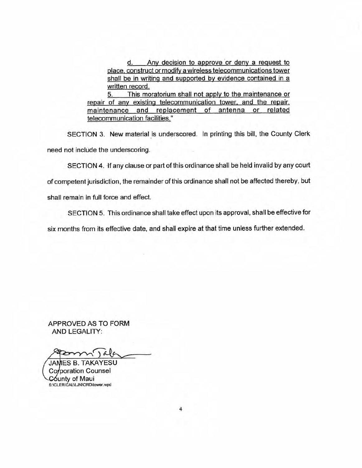d. Any decision to approve or deny a request to place. construct or modify a wireless telecommunications tower shall be in writing and supported by evidence contained in a wriften record.

5. This moratorium shall not apply to the maintenance or repair of any existing telecommunication tower. and the repair. maintenance and replacement of antenna or related telecommunication facilities."

SECTION 3. New material is underscored. In printing this bill, the County Clerk need not include the underscoring.

SECTION 4. lf any clause or part of this ordinance shall be held invalid by any court

of competent jurisdiction, the remainder of this ordinance shall not be affected thereby, but

shall remain in full force and effect.

SECTION 5. This ordinance shall take effect upon its approval, shall be effective for

six months from its effective date, and shall expire at that time unless further extended.

APPROVED AS TO FORM AND LEGALITY:

JAMES B. TAKAYESU Corporation Counsel County of Maui S:\CLERICAL\LJN\ORD\tower.wpd